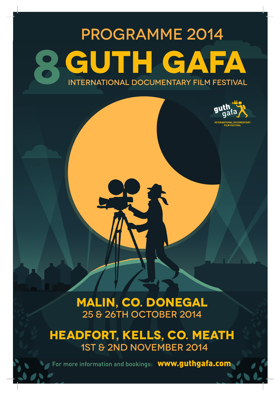## **PROGRAMME 2014** UTH GA IFA **INTERNATIONAL DOCUMENTARY FILM FESTIVAL**



MALIN, CO. DONEGAL 25 & 26TH OCTOBER 2014

**HEADFORT, KELLS, CO. MEATH** 1ST & 2ND NOVEMBER 2014

For more information and bookings: **WWW.guthgafa.com**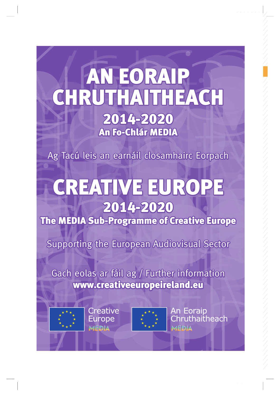# EORAIR **HILLYGH CERUTH** 2014-2020 An Fo-Chlár MEDIA

Ag Tacú leis an earnáil closamhairc Eorpach

# CREATIVE EUROP 2014-2020

The MEDIA Sub-Programme of Creative Europe

Supporting the European Audiovisual Sector

Gach eolas ar fáil ag / Further information www.creativeeuropeireland.eu







**An Eoraip** ruthaitheach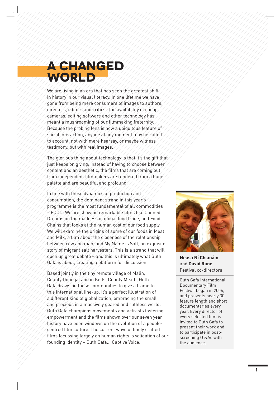### **A Changed WORLD**

We are living in an era that has seen the greatest shift in history in our visual literacy. In one lifetime we have gone from being mere consumers of images to authors, directors, editors and critics. The availability of cheap cameras, editing software and other technology has meant a mushrooming of our filmmaking fraternity. Because the probing lens is now a ubiquitous feature of social interaction, anyone at any moment may be called to account, not with mere hearsay, or maybe witness testimony, but with real images.

The glorious thing about technology is that it's the gift that  $\tau$ just keeps on giving: instead of having to choose between content and an aesthetic, the films that are coming out from independent filmmakers are rendered from a huge palette and are beautiful and profound.

In line with these dynamics of production and consumption, the dominant strand in this year's programme is the most fundamental of all commodities – FOOD. We are showing remarkable films like Canned Dreams on the madness of global food trade, and Food Chains that looks at the human cost of our food supply. We will examine the origins of some of our foods in Meat and Milk, a film about the closeness of the relationship between cow and man, and My Name is Salt, an exquisite story of migrant salt harvesters. This is a strand that will open up great debate – and this is ultimately what Guth Gafa is about, creating a platform for discussion.

Based jointly in the tiny remote village of Malin, County Donegal and in Kells, County Meath, Guth Gafa draws on these communities to give a frame to this international line-up. It's a perfect illustration of a different kind of globalization, embracing the small and precious in a massively geared and ruthless world. Guth Gafa champions movements and activists fostering empowerment and the films shown over our seven year history have been windows on the evolution of a peoplecentred film culture. The current wave of finely crafted films focussing largely on human rights is validation of our founding identity – Guth Gafa... Captive Voice.



**Neasa Ní Chianáin** and **David Rane** Festival co-directors

Guth Gafa International Documentary Film Festival began in 2006, and presents nearly 30 feature length and short documentaries every year. Every director of every selected film is invited to Guth Gafa to present their work and to participate in postscreening Q &As with the audience.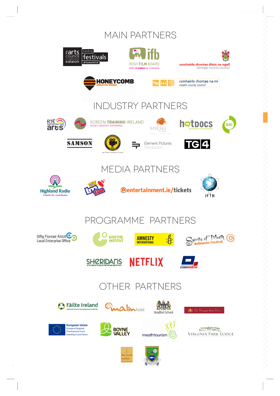#### **MAIN PARTNERS**